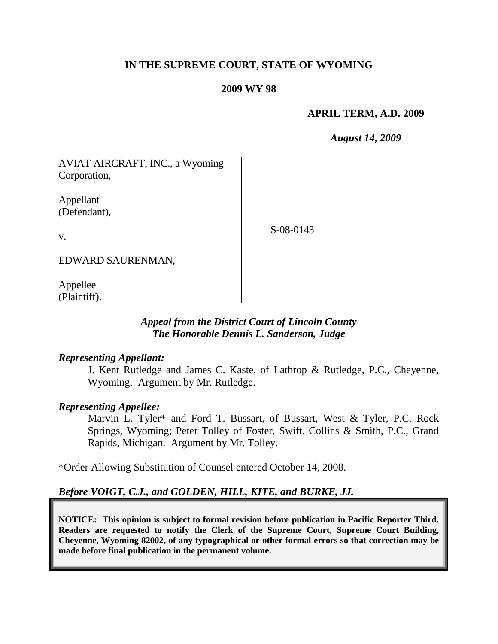# **IN THE SUPREME COURT, STATE OF WYOMING**

#### **2009 WY 98**

#### **APRIL TERM, A.D. 2009**

*August 14, 2009*

AVIAT AIRCRAFT, INC., a Wyoming Corporation,

Appellant (Defendant),

v.

S-08-0143

EDWARD SAURENMAN,

Appellee (Plaintiff).

## *Appeal from the District Court of Lincoln County The Honorable Dennis L. Sanderson, Judge*

#### *Representing Appellant:*

J. Kent Rutledge and James C. Kaste, of Lathrop & Rutledge, P.C., Cheyenne, Wyoming. Argument by Mr. Rutledge.

## *Representing Appellee:*

Marvin L. Tyler\* and Ford T. Bussart, of Bussart, West & Tyler, P.C. Rock Springs, Wyoming; Peter Tolley of Foster, Swift, Collins & Smith, P.C., Grand Rapids, Michigan. Argument by Mr. Tolley.

\*Order Allowing Substitution of Counsel entered October 14, 2008.

# *Before VOIGT, C.J., and GOLDEN, HILL, KITE, and BURKE, JJ.*

**NOTICE: This opinion is subject to formal revision before publication in Pacific Reporter Third. Readers are requested to notify the Clerk of the Supreme Court, Supreme Court Building, Cheyenne, Wyoming 82002, of any typographical or other formal errors so that correction may be made before final publication in the permanent volume.**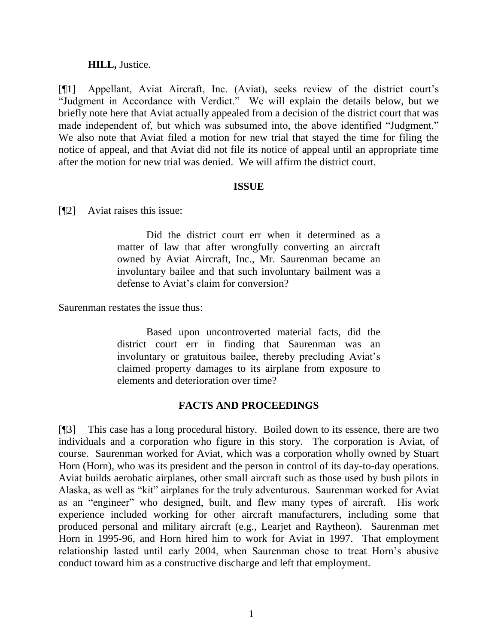#### **HILL,** Justice.

[¶1] Appellant, Aviat Aircraft, Inc. (Aviat), seeks review of the district court's "Judgment in Accordance with Verdict." We will explain the details below, but we briefly note here that Aviat actually appealed from a decision of the district court that was made independent of, but which was subsumed into, the above identified "Judgment." We also note that Aviat filed a motion for new trial that stayed the time for filing the notice of appeal, and that Aviat did not file its notice of appeal until an appropriate time after the motion for new trial was denied. We will affirm the district court.

#### **ISSUE**

[¶2] Aviat raises this issue:

Did the district court err when it determined as a matter of law that after wrongfully converting an aircraft owned by Aviat Aircraft, Inc., Mr. Saurenman became an involuntary bailee and that such involuntary bailment was a defense to Aviat's claim for conversion?

Saurenman restates the issue thus:

Based upon uncontroverted material facts, did the district court err in finding that Saurenman was an involuntary or gratuitous bailee, thereby precluding Aviat's claimed property damages to its airplane from exposure to elements and deterioration over time?

## **FACTS AND PROCEEDINGS**

[¶3] This case has a long procedural history. Boiled down to its essence, there are two individuals and a corporation who figure in this story. The corporation is Aviat, of course. Saurenman worked for Aviat, which was a corporation wholly owned by Stuart Horn (Horn), who was its president and the person in control of its day-to-day operations. Aviat builds aerobatic airplanes, other small aircraft such as those used by bush pilots in Alaska, as well as "kit" airplanes for the truly adventurous. Saurenman worked for Aviat as an "engineer" who designed, built, and flew many types of aircraft. His work experience included working for other aircraft manufacturers, including some that produced personal and military aircraft (e.g., Learjet and Raytheon). Saurenman met Horn in 1995-96, and Horn hired him to work for Aviat in 1997. That employment relationship lasted until early 2004, when Saurenman chose to treat Horn's abusive conduct toward him as a constructive discharge and left that employment.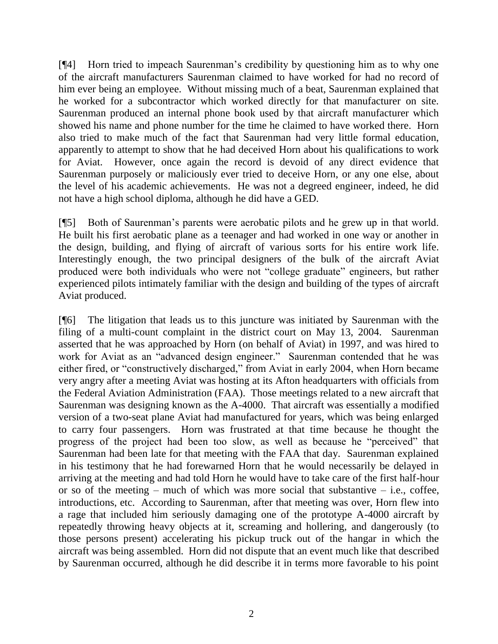[¶4] Horn tried to impeach Saurenman's credibility by questioning him as to why one of the aircraft manufacturers Saurenman claimed to have worked for had no record of him ever being an employee. Without missing much of a beat, Saurenman explained that he worked for a subcontractor which worked directly for that manufacturer on site. Saurenman produced an internal phone book used by that aircraft manufacturer which showed his name and phone number for the time he claimed to have worked there. Horn also tried to make much of the fact that Saurenman had very little formal education, apparently to attempt to show that he had deceived Horn about his qualifications to work for Aviat. However, once again the record is devoid of any direct evidence that Saurenman purposely or maliciously ever tried to deceive Horn, or any one else, about the level of his academic achievements. He was not a degreed engineer, indeed, he did not have a high school diploma, although he did have a GED.

[¶5] Both of Saurenman's parents were aerobatic pilots and he grew up in that world. He built his first aerobatic plane as a teenager and had worked in one way or another in the design, building, and flying of aircraft of various sorts for his entire work life. Interestingly enough, the two principal designers of the bulk of the aircraft Aviat produced were both individuals who were not "college graduate" engineers, but rather experienced pilots intimately familiar with the design and building of the types of aircraft Aviat produced.

[¶6] The litigation that leads us to this juncture was initiated by Saurenman with the filing of a multi-count complaint in the district court on May 13, 2004. Saurenman asserted that he was approached by Horn (on behalf of Aviat) in 1997, and was hired to work for Aviat as an "advanced design engineer." Saurenman contended that he was either fired, or "constructively discharged," from Aviat in early 2004, when Horn became very angry after a meeting Aviat was hosting at its Afton headquarters with officials from the Federal Aviation Administration (FAA). Those meetings related to a new aircraft that Saurenman was designing known as the A-4000. That aircraft was essentially a modified version of a two-seat plane Aviat had manufactured for years, which was being enlarged to carry four passengers. Horn was frustrated at that time because he thought the progress of the project had been too slow, as well as because he "perceived" that Saurenman had been late for that meeting with the FAA that day. Saurenman explained in his testimony that he had forewarned Horn that he would necessarily be delayed in arriving at the meeting and had told Horn he would have to take care of the first half-hour or so of the meeting – much of which was more social that substantive – i.e., coffee, introductions, etc. According to Saurenman, after that meeting was over, Horn flew into a rage that included him seriously damaging one of the prototype A-4000 aircraft by repeatedly throwing heavy objects at it, screaming and hollering, and dangerously (to those persons present) accelerating his pickup truck out of the hangar in which the aircraft was being assembled. Horn did not dispute that an event much like that described by Saurenman occurred, although he did describe it in terms more favorable to his point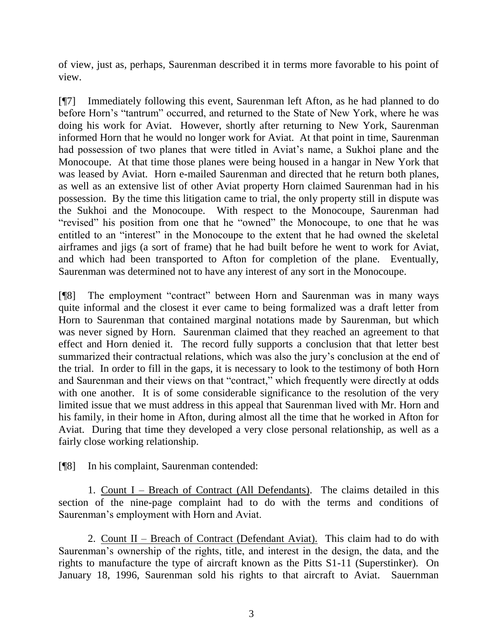of view, just as, perhaps, Saurenman described it in terms more favorable to his point of view.

[¶7] Immediately following this event, Saurenman left Afton, as he had planned to do before Horn's "tantrum" occurred, and returned to the State of New York, where he was doing his work for Aviat. However, shortly after returning to New York, Saurenman informed Horn that he would no longer work for Aviat. At that point in time, Saurenman had possession of two planes that were titled in Aviat's name, a Sukhoi plane and the Monocoupe. At that time those planes were being housed in a hangar in New York that was leased by Aviat. Horn e-mailed Saurenman and directed that he return both planes, as well as an extensive list of other Aviat property Horn claimed Saurenman had in his possession. By the time this litigation came to trial, the only property still in dispute was the Sukhoi and the Monocoupe. With respect to the Monocoupe, Saurenman had "revised" his position from one that he "owned" the Monocoupe, to one that he was entitled to an "interest" in the Monocoupe to the extent that he had owned the skeletal airframes and jigs (a sort of frame) that he had built before he went to work for Aviat, and which had been transported to Afton for completion of the plane. Eventually, Saurenman was determined not to have any interest of any sort in the Monocoupe.

[¶8] The employment "contract" between Horn and Saurenman was in many ways quite informal and the closest it ever came to being formalized was a draft letter from Horn to Saurenman that contained marginal notations made by Saurenman, but which was never signed by Horn. Saurenman claimed that they reached an agreement to that effect and Horn denied it. The record fully supports a conclusion that that letter best summarized their contractual relations, which was also the jury's conclusion at the end of the trial. In order to fill in the gaps, it is necessary to look to the testimony of both Horn and Saurenman and their views on that "contract," which frequently were directly at odds with one another. It is of some considerable significance to the resolution of the very limited issue that we must address in this appeal that Saurenman lived with Mr. Horn and his family, in their home in Afton, during almost all the time that he worked in Afton for Aviat. During that time they developed a very close personal relationship, as well as a fairly close working relationship.

[¶8] In his complaint, Saurenman contended:

1. Count I – Breach of Contract (All Defendants). The claims detailed in this section of the nine-page complaint had to do with the terms and conditions of Saurenman's employment with Horn and Aviat.

2. Count II – Breach of Contract (Defendant Aviat). This claim had to do with Saurenman's ownership of the rights, title, and interest in the design, the data, and the rights to manufacture the type of aircraft known as the Pitts S1-11 (Superstinker). On January 18, 1996, Saurenman sold his rights to that aircraft to Aviat. Sauernman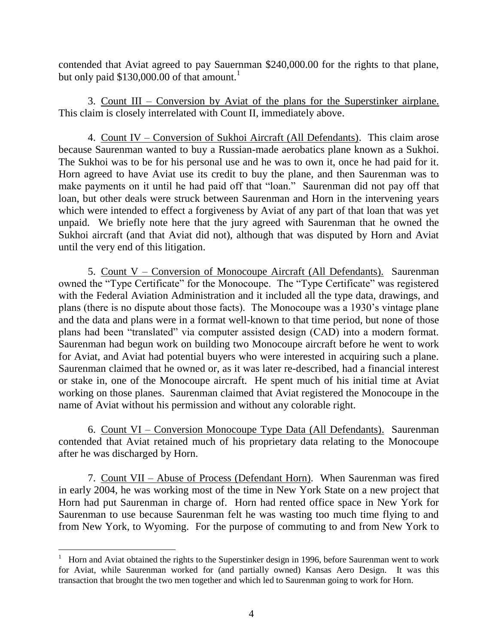contended that Aviat agreed to pay Sauernman \$240,000.00 for the rights to that plane, but only paid  $$130,000.00$  of that amount.<sup>1</sup>

3. Count III – Conversion by Aviat of the plans for the Superstinker airplane. This claim is closely interrelated with Count II, immediately above.

4. Count IV – Conversion of Sukhoi Aircraft (All Defendants). This claim arose because Saurenman wanted to buy a Russian-made aerobatics plane known as a Sukhoi. The Sukhoi was to be for his personal use and he was to own it, once he had paid for it. Horn agreed to have Aviat use its credit to buy the plane, and then Saurenman was to make payments on it until he had paid off that "loan." Saurenman did not pay off that loan, but other deals were struck between Saurenman and Horn in the intervening years which were intended to effect a forgiveness by Aviat of any part of that loan that was yet unpaid. We briefly note here that the jury agreed with Saurenman that he owned the Sukhoi aircraft (and that Aviat did not), although that was disputed by Horn and Aviat until the very end of this litigation.

5. Count V – Conversion of Monocoupe Aircraft (All Defendants). Saurenman owned the "Type Certificate" for the Monocoupe. The "Type Certificate" was registered with the Federal Aviation Administration and it included all the type data, drawings, and plans (there is no dispute about those facts). The Monocoupe was a 1930's vintage plane and the data and plans were in a format well-known to that time period, but none of those plans had been "translated" via computer assisted design (CAD) into a modern format. Saurenman had begun work on building two Monocoupe aircraft before he went to work for Aviat, and Aviat had potential buyers who were interested in acquiring such a plane. Saurenman claimed that he owned or, as it was later re-described, had a financial interest or stake in, one of the Monocoupe aircraft. He spent much of his initial time at Aviat working on those planes. Saurenman claimed that Aviat registered the Monocoupe in the name of Aviat without his permission and without any colorable right.

6. Count VI – Conversion Monocoupe Type Data (All Defendants). Saurenman contended that Aviat retained much of his proprietary data relating to the Monocoupe after he was discharged by Horn.

7. Count VII – Abuse of Process (Defendant Horn). When Saurenman was fired in early 2004, he was working most of the time in New York State on a new project that Horn had put Saurenman in charge of. Horn had rented office space in New York for Saurenman to use because Saurenman felt he was wasting too much time flying to and from New York, to Wyoming. For the purpose of commuting to and from New York to

<sup>1</sup> Horn and Aviat obtained the rights to the Superstinker design in 1996, before Saurenman went to work for Aviat, while Saurenman worked for (and partially owned) Kansas Aero Design. It was this transaction that brought the two men together and which led to Saurenman going to work for Horn.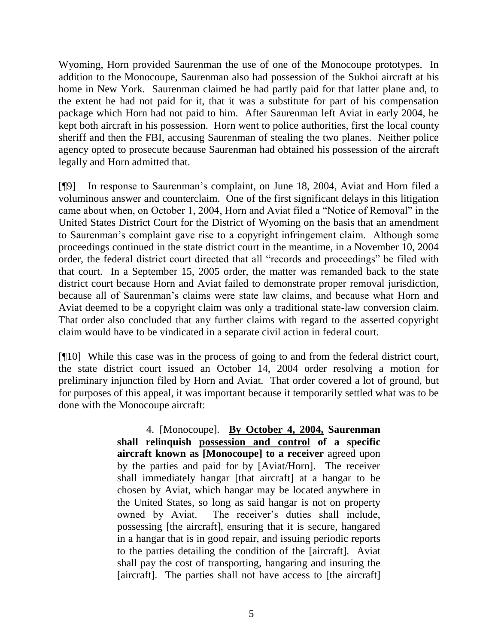Wyoming, Horn provided Saurenman the use of one of the Monocoupe prototypes. In addition to the Monocoupe, Saurenman also had possession of the Sukhoi aircraft at his home in New York. Saurenman claimed he had partly paid for that latter plane and, to the extent he had not paid for it, that it was a substitute for part of his compensation package which Horn had not paid to him. After Saurenman left Aviat in early 2004, he kept both aircraft in his possession. Horn went to police authorities, first the local county sheriff and then the FBI, accusing Saurenman of stealing the two planes. Neither police agency opted to prosecute because Saurenman had obtained his possession of the aircraft legally and Horn admitted that.

[¶9] In response to Saurenman's complaint, on June 18, 2004, Aviat and Horn filed a voluminous answer and counterclaim. One of the first significant delays in this litigation came about when, on October 1, 2004, Horn and Aviat filed a "Notice of Removal" in the United States District Court for the District of Wyoming on the basis that an amendment to Saurenman's complaint gave rise to a copyright infringement claim. Although some proceedings continued in the state district court in the meantime, in a November 10, 2004 order, the federal district court directed that all "records and proceedings" be filed with that court. In a September 15, 2005 order, the matter was remanded back to the state district court because Horn and Aviat failed to demonstrate proper removal jurisdiction, because all of Saurenman's claims were state law claims, and because what Horn and Aviat deemed to be a copyright claim was only a traditional state-law conversion claim. That order also concluded that any further claims with regard to the asserted copyright claim would have to be vindicated in a separate civil action in federal court.

[¶10] While this case was in the process of going to and from the federal district court, the state district court issued an October 14, 2004 order resolving a motion for preliminary injunction filed by Horn and Aviat. That order covered a lot of ground, but for purposes of this appeal, it was important because it temporarily settled what was to be done with the Monocoupe aircraft:

> 4. [Monocoupe]. **By October 4, 2004, Saurenman shall relinquish possession and control of a specific aircraft known as [Monocoupe] to a receiver** agreed upon by the parties and paid for by [Aviat/Horn]. The receiver shall immediately hangar [that aircraft] at a hangar to be chosen by Aviat, which hangar may be located anywhere in the United States, so long as said hangar is not on property owned by Aviat. The receiver's duties shall include, possessing [the aircraft], ensuring that it is secure, hangared in a hangar that is in good repair, and issuing periodic reports to the parties detailing the condition of the [aircraft]. Aviat shall pay the cost of transporting, hangaring and insuring the [aircraft]. The parties shall not have access to [the aircraft]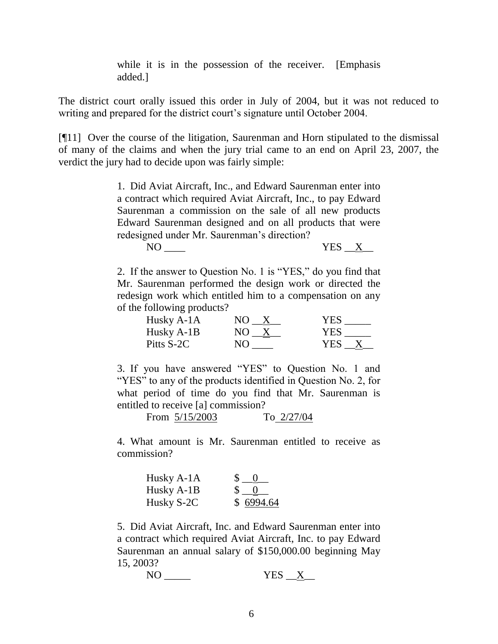while it is in the possession of the receiver. [Emphasis added.]

The district court orally issued this order in July of 2004, but it was not reduced to writing and prepared for the district court's signature until October 2004.

[¶11] Over the course of the litigation, Saurenman and Horn stipulated to the dismissal of many of the claims and when the jury trial came to an end on April 23, 2007, the verdict the jury had to decide upon was fairly simple:

> 1. Did Aviat Aircraft, Inc., and Edward Saurenman enter into a contract which required Aviat Aircraft, Inc., to pay Edward Saurenman a commission on the sale of all new products Edward Saurenman designed and on all products that were redesigned under Mr. Saurenman's direction?

> > $NO \_\_\_\$  YES  $X \_\_\$

2. If the answer to Question No. 1 is "YES," do you find that Mr. Saurenman performed the design work or directed the redesign work which entitled him to a compensation on any of the following products?

| Husky A-1A | NO. | <b>YES</b> |
|------------|-----|------------|
| Husky A-1B | N() | <b>YES</b> |
| Pitts S-2C | NΟ  | YES.       |

3. If you have answered "YES" to Question No. 1 and "YES" to any of the products identified in Question No. 2, for what period of time do you find that Mr. Saurenman is entitled to receive [a] commission?

From  $\frac{5}{15/2003}$  To  $\frac{2}{27/04}$ 

4. What amount is Mr. Saurenman entitled to receive as commission?

| Husky A-1A | $\begin{bmatrix} 0 \\ 0 \end{bmatrix}$ |
|------------|----------------------------------------|
| Husky A-1B | $\begin{matrix} 0 \\ 0 \end{matrix}$   |
| Husky S-2C | \$6994.64                              |

5. Did Aviat Aircraft, Inc. and Edward Saurenman enter into a contract which required Aviat Aircraft, Inc. to pay Edward Saurenman an annual salary of \$150,000.00 beginning May 15, 2003?

 $NO$   $YES \tX$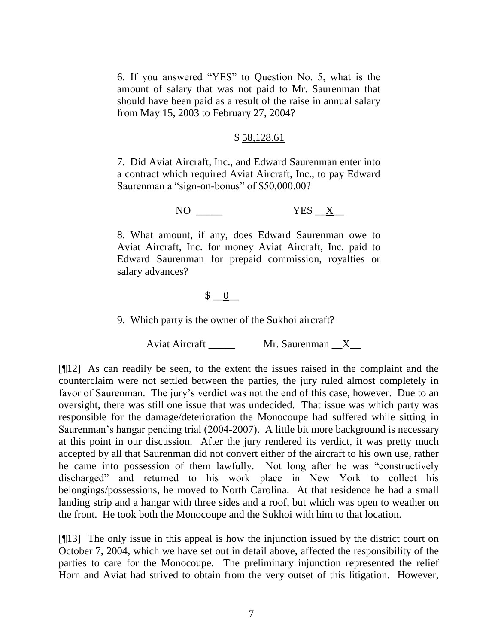6. If you answered "YES" to Question No. 5, what is the amount of salary that was not paid to Mr. Saurenman that should have been paid as a result of the raise in annual salary from May 15, 2003 to February 27, 2004?

#### \$ 58,128.61

7. Did Aviat Aircraft, Inc., and Edward Saurenman enter into a contract which required Aviat Aircraft, Inc., to pay Edward Saurenman a "sign-on-bonus" of \$50,000.00?

NO  $\begin{array}{ccc} & & \text{YES} & X \end{array}$ 

8. What amount, if any, does Edward Saurenman owe to Aviat Aircraft, Inc. for money Aviat Aircraft, Inc. paid to Edward Saurenman for prepaid commission, royalties or salary advances?

## $\begin{matrix} \text{\$} & \text{\$} & \text{\$} \\ \text{\$} & \text{\$} & \text{\$} \end{matrix}$

9. Which party is the owner of the Sukhoi aircraft?

Aviat Aircraft \_\_\_\_\_ Mr. Saurenman \_X\_

[¶12] As can readily be seen, to the extent the issues raised in the complaint and the counterclaim were not settled between the parties, the jury ruled almost completely in favor of Saurenman. The jury's verdict was not the end of this case, however. Due to an oversight, there was still one issue that was undecided. That issue was which party was responsible for the damage/deterioration the Monocoupe had suffered while sitting in Saurenman's hangar pending trial (2004-2007). A little bit more background is necessary at this point in our discussion. After the jury rendered its verdict, it was pretty much accepted by all that Saurenman did not convert either of the aircraft to his own use, rather he came into possession of them lawfully. Not long after he was "constructively discharged" and returned to his work place in New York to collect his belongings/possessions, he moved to North Carolina. At that residence he had a small landing strip and a hangar with three sides and a roof, but which was open to weather on the front. He took both the Monocoupe and the Sukhoi with him to that location.

[¶13] The only issue in this appeal is how the injunction issued by the district court on October 7, 2004, which we have set out in detail above, affected the responsibility of the parties to care for the Monocoupe. The preliminary injunction represented the relief Horn and Aviat had strived to obtain from the very outset of this litigation. However,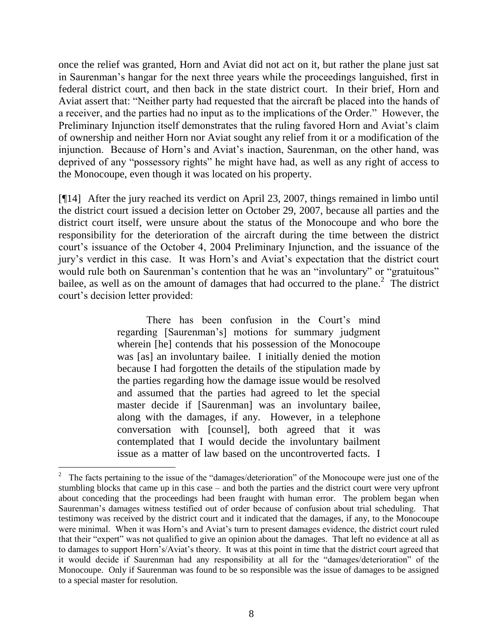once the relief was granted, Horn and Aviat did not act on it, but rather the plane just sat in Saurenman's hangar for the next three years while the proceedings languished, first in federal district court, and then back in the state district court. In their brief, Horn and Aviat assert that: "Neither party had requested that the aircraft be placed into the hands of a receiver, and the parties had no input as to the implications of the Order." However, the Preliminary Injunction itself demonstrates that the ruling favored Horn and Aviat's claim of ownership and neither Horn nor Aviat sought any relief from it or a modification of the injunction. Because of Horn's and Aviat's inaction, Saurenman, on the other hand, was deprived of any "possessory rights" he might have had, as well as any right of access to the Monocoupe, even though it was located on his property.

[¶14] After the jury reached its verdict on April 23, 2007, things remained in limbo until the district court issued a decision letter on October 29, 2007, because all parties and the district court itself, were unsure about the status of the Monocoupe and who bore the responsibility for the deterioration of the aircraft during the time between the district court's issuance of the October 4, 2004 Preliminary Injunction, and the issuance of the jury's verdict in this case. It was Horn's and Aviat's expectation that the district court would rule both on Saurenman's contention that he was an "involuntary" or "gratuitous" bailee, as well as on the amount of damages that had occurred to the plane.<sup>2</sup> The district court's decision letter provided:

> There has been confusion in the Court's mind regarding [Saurenman's] motions for summary judgment wherein [he] contends that his possession of the Monocoupe was [as] an involuntary bailee. I initially denied the motion because I had forgotten the details of the stipulation made by the parties regarding how the damage issue would be resolved and assumed that the parties had agreed to let the special master decide if [Saurenman] was an involuntary bailee, along with the damages, if any. However, in a telephone conversation with [counsel], both agreed that it was contemplated that I would decide the involuntary bailment issue as a matter of law based on the uncontroverted facts. I

<sup>2</sup> The facts pertaining to the issue of the "damages/deterioration" of the Monocoupe were just one of the stumbling blocks that came up in this case – and both the parties and the district court were very upfront about conceding that the proceedings had been fraught with human error. The problem began when Saurenman's damages witness testified out of order because of confusion about trial scheduling. That testimony was received by the district court and it indicated that the damages, if any, to the Monocoupe were minimal. When it was Horn's and Aviat's turn to present damages evidence, the district court ruled that their "expert" was not qualified to give an opinion about the damages. That left no evidence at all as to damages to support Horn's/Aviat's theory. It was at this point in time that the district court agreed that it would decide if Saurenman had any responsibility at all for the "damages/deterioration" of the Monocoupe. Only if Saurenman was found to be so responsible was the issue of damages to be assigned to a special master for resolution.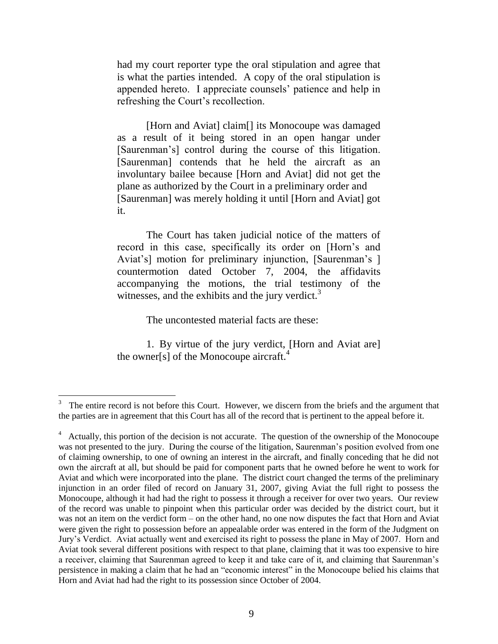had my court reporter type the oral stipulation and agree that is what the parties intended. A copy of the oral stipulation is appended hereto. I appreciate counsels' patience and help in refreshing the Court's recollection.

[Horn and Aviat] claim<sup>[]</sup> its Monocoupe was damaged as a result of it being stored in an open hangar under [Saurenman's] control during the course of this litigation. [Saurenman] contends that he held the aircraft as an involuntary bailee because [Horn and Aviat] did not get the plane as authorized by the Court in a preliminary order and [Saurenman] was merely holding it until [Horn and Aviat] got it.

The Court has taken judicial notice of the matters of record in this case, specifically its order on [Horn's and Aviat's] motion for preliminary injunction, [Saurenman's ] countermotion dated October 7, 2004, the affidavits accompanying the motions, the trial testimony of the witnesses, and the exhibits and the jury verdict. $3$ 

The uncontested material facts are these:

1. By virtue of the jury verdict, [Horn and Aviat are] the owner[s] of the Monocoupe aircraft.<sup>4</sup>

<sup>3</sup> The entire record is not before this Court. However, we discern from the briefs and the argument that the parties are in agreement that this Court has all of the record that is pertinent to the appeal before it.

<sup>&</sup>lt;sup>4</sup> Actually, this portion of the decision is not accurate. The question of the ownership of the Monocoupe was not presented to the jury. During the course of the litigation, Saurenman's position evolved from one of claiming ownership, to one of owning an interest in the aircraft, and finally conceding that he did not own the aircraft at all, but should be paid for component parts that he owned before he went to work for Aviat and which were incorporated into the plane. The district court changed the terms of the preliminary injunction in an order filed of record on January 31, 2007, giving Aviat the full right to possess the Monocoupe, although it had had the right to possess it through a receiver for over two years. Our review of the record was unable to pinpoint when this particular order was decided by the district court, but it was not an item on the verdict form – on the other hand, no one now disputes the fact that Horn and Aviat were given the right to possession before an appealable order was entered in the form of the Judgment on Jury's Verdict. Aviat actually went and exercised its right to possess the plane in May of 2007. Horn and Aviat took several different positions with respect to that plane, claiming that it was too expensive to hire a receiver, claiming that Saurenman agreed to keep it and take care of it, and claiming that Saurenman's persistence in making a claim that he had an "economic interest" in the Monocoupe belied his claims that Horn and Aviat had had the right to its possession since October of 2004.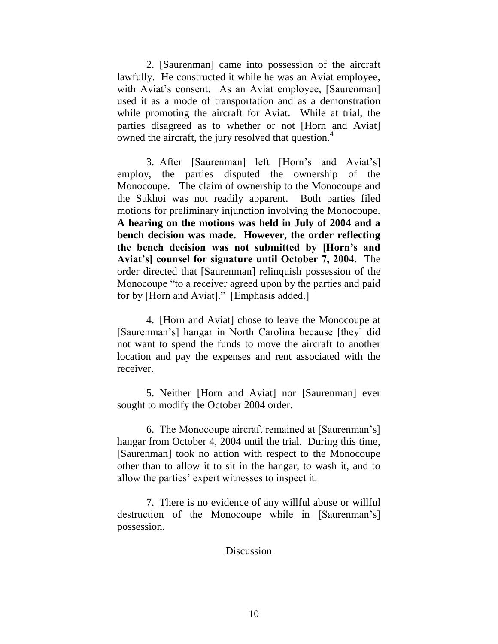2. [Saurenman] came into possession of the aircraft lawfully. He constructed it while he was an Aviat employee, with Aviat's consent. As an Aviat employee, [Saurenman] used it as a mode of transportation and as a demonstration while promoting the aircraft for Aviat. While at trial, the parties disagreed as to whether or not [Horn and Aviat] owned the aircraft, the jury resolved that question.<sup>4</sup>

3. After [Saurenman] left [Horn's and Aviat's] employ, the parties disputed the ownership of the Monocoupe. The claim of ownership to the Monocoupe and the Sukhoi was not readily apparent. Both parties filed motions for preliminary injunction involving the Monocoupe. **A hearing on the motions was held in July of 2004 and a bench decision was made. However, the order reflecting the bench decision was not submitted by [Horn's and Aviat's] counsel for signature until October 7, 2004.** The order directed that [Saurenman] relinquish possession of the Monocoupe "to a receiver agreed upon by the parties and paid for by [Horn and Aviat]." [Emphasis added.]

4. [Horn and Aviat] chose to leave the Monocoupe at [Saurenman's] hangar in North Carolina because [they] did not want to spend the funds to move the aircraft to another location and pay the expenses and rent associated with the receiver.

5. Neither [Horn and Aviat] nor [Saurenman] ever sought to modify the October 2004 order.

6. The Monocoupe aircraft remained at [Saurenman's] hangar from October 4, 2004 until the trial. During this time, [Saurenman] took no action with respect to the Monocoupe other than to allow it to sit in the hangar, to wash it, and to allow the parties' expert witnesses to inspect it.

7. There is no evidence of any willful abuse or willful destruction of the Monocoupe while in [Saurenman's] possession.

## Discussion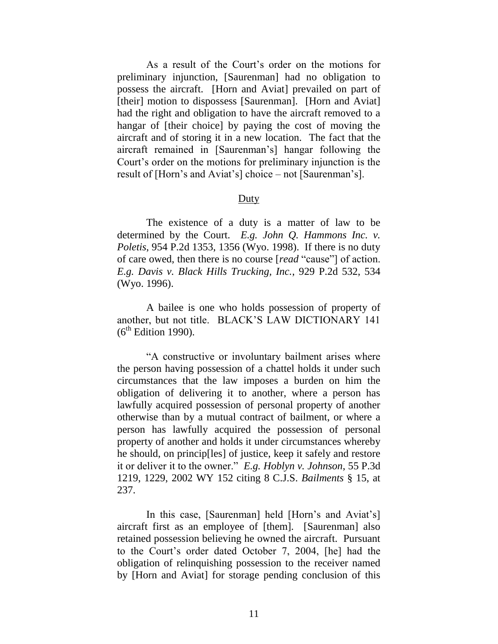As a result of the Court's order on the motions for preliminary injunction, [Saurenman] had no obligation to possess the aircraft. [Horn and Aviat] prevailed on part of [their] motion to dispossess [Saurenman]. [Horn and Aviat] had the right and obligation to have the aircraft removed to a hangar of [their choice] by paying the cost of moving the aircraft and of storing it in a new location. The fact that the aircraft remained in [Saurenman's] hangar following the Court's order on the motions for preliminary injunction is the result of [Horn's and Aviat's] choice – not [Saurenman's].

#### **Duty**

The existence of a duty is a matter of law to be determined by the Court. *E.g. John Q. Hammons Inc. v. Poletis*, 954 P.2d 1353, 1356 (Wyo. 1998). If there is no duty of care owed, then there is no course [*read* "cause"] of action. *E.g. Davis v. Black Hills Trucking, Inc.*, 929 P.2d 532, 534 (Wyo. 1996).

A bailee is one who holds possession of property of another, but not title. BLACK'S LAW DICTIONARY 141  $(6<sup>th</sup> Edition 1990)$ .

"A constructive or involuntary bailment arises where the person having possession of a chattel holds it under such circumstances that the law imposes a burden on him the obligation of delivering it to another, where a person has lawfully acquired possession of personal property of another otherwise than by a mutual contract of bailment, or where a person has lawfully acquired the possession of personal property of another and holds it under circumstances whereby he should, on princip[les] of justice, keep it safely and restore it or deliver it to the owner." *E.g. Hoblyn v. Johnson*, 55 P.3d 1219, 1229, 2002 WY 152 citing 8 C.J.S. *Bailments* § 15, at 237.

In this case, [Saurenman] held [Horn's and Aviat's] aircraft first as an employee of [them]. [Saurenman] also retained possession believing he owned the aircraft. Pursuant to the Court's order dated October 7, 2004, [he] had the obligation of relinquishing possession to the receiver named by [Horn and Aviat] for storage pending conclusion of this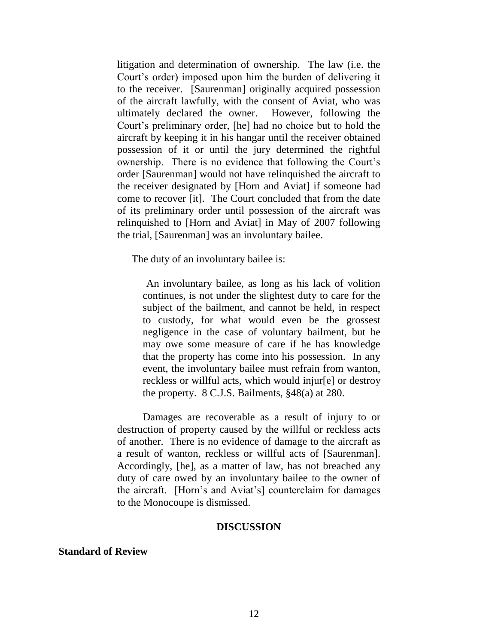litigation and determination of ownership. The law (i.e. the Court's order) imposed upon him the burden of delivering it to the receiver. [Saurenman] originally acquired possession of the aircraft lawfully, with the consent of Aviat, who was ultimately declared the owner. However, following the Court's preliminary order, [he] had no choice but to hold the aircraft by keeping it in his hangar until the receiver obtained possession of it or until the jury determined the rightful ownership. There is no evidence that following the Court's order [Saurenman] would not have relinquished the aircraft to the receiver designated by [Horn and Aviat] if someone had come to recover [it]. The Court concluded that from the date of its preliminary order until possession of the aircraft was relinquished to [Horn and Aviat] in May of 2007 following the trial, [Saurenman] was an involuntary bailee.

The duty of an involuntary bailee is:

An involuntary bailee, as long as his lack of volition continues, is not under the slightest duty to care for the subject of the bailment, and cannot be held, in respect to custody, for what would even be the grossest negligence in the case of voluntary bailment, but he may owe some measure of care if he has knowledge that the property has come into his possession. In any event, the involuntary bailee must refrain from wanton, reckless or willful acts, which would injur[e] or destroy the property. 8 C.J.S. Bailments, §48(a) at 280.

Damages are recoverable as a result of injury to or destruction of property caused by the willful or reckless acts of another. There is no evidence of damage to the aircraft as a result of wanton, reckless or willful acts of [Saurenman]. Accordingly, [he], as a matter of law, has not breached any duty of care owed by an involuntary bailee to the owner of the aircraft. [Horn's and Aviat's] counterclaim for damages to the Monocoupe is dismissed.

#### **DISCUSSION**

## **Standard of Review**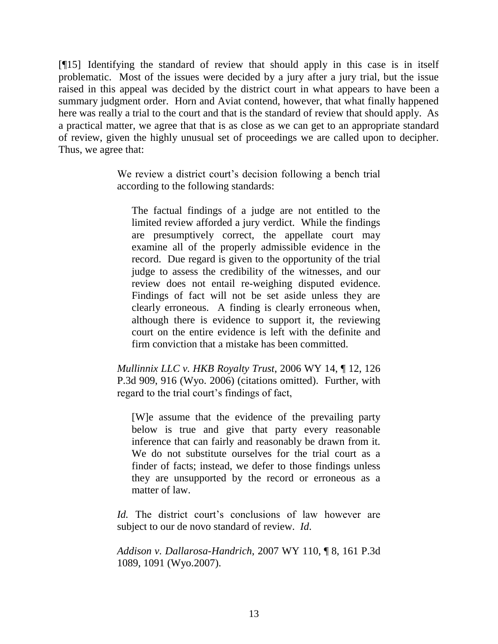[¶15] Identifying the standard of review that should apply in this case is in itself problematic. Most of the issues were decided by a jury after a jury trial, but the issue raised in this appeal was decided by the district court in what appears to have been a summary judgment order. Horn and Aviat contend, however, that what finally happened here was really a trial to the court and that is the standard of review that should apply. As a practical matter, we agree that that is as close as we can get to an appropriate standard of review, given the highly unusual set of proceedings we are called upon to decipher. Thus, we agree that:

> We review a district court's decision following a bench trial according to the following standards:

The factual findings of a judge are not entitled to the limited review afforded a jury verdict. While the findings are presumptively correct, the appellate court may examine all of the properly admissible evidence in the record. Due regard is given to the opportunity of the trial judge to assess the credibility of the witnesses, and our review does not entail re-weighing disputed evidence. Findings of fact will not be set aside unless they are clearly erroneous. A finding is clearly erroneous when, although there is evidence to support it, the reviewing court on the entire evidence is left with the definite and firm conviction that a mistake has been committed.

*Mullinnix LLC v. HKB Royalty Trust*, 2006 WY 14, ¶ 12, 126 P.3d 909, 916 (Wyo. 2006) (citations omitted). Further, with regard to the trial court's findings of fact,

[W]e assume that the evidence of the prevailing party below is true and give that party every reasonable inference that can fairly and reasonably be drawn from it. We do not substitute ourselves for the trial court as a finder of facts; instead, we defer to those findings unless they are unsupported by the record or erroneous as a matter of law.

*Id.* The district court's conclusions of law however are subject to our de novo standard of review. *Id*.

*Addison v. Dallarosa-Handrich*, 2007 WY 110, ¶ 8, 161 P.3d 1089, 1091 (Wyo.2007).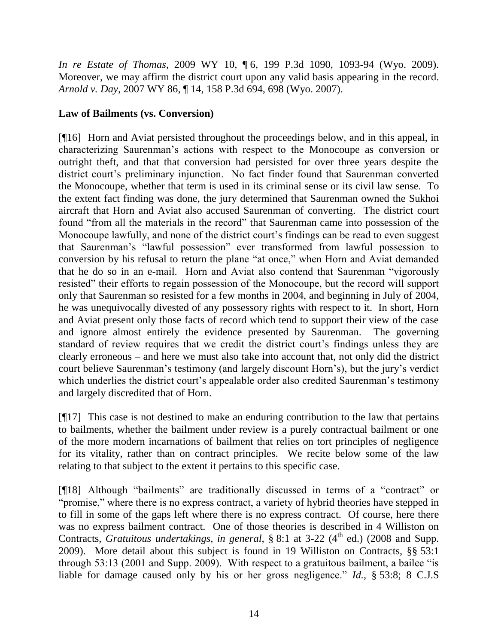*In re Estate of Thomas*, 2009 WY 10, ¶ 6, 199 P.3d 1090, 1093-94 (Wyo. 2009). Moreover, we may affirm the district court upon any valid basis appearing in the record. *Arnold v. Day*, 2007 WY 86, ¶ 14, 158 P.3d 694, 698 (Wyo. 2007).

# **Law of Bailments (vs. Conversion)**

[¶16] Horn and Aviat persisted throughout the proceedings below, and in this appeal, in characterizing Saurenman's actions with respect to the Monocoupe as conversion or outright theft, and that that conversion had persisted for over three years despite the district court's preliminary injunction. No fact finder found that Saurenman converted the Monocoupe, whether that term is used in its criminal sense or its civil law sense. To the extent fact finding was done, the jury determined that Saurenman owned the Sukhoi aircraft that Horn and Aviat also accused Saurenman of converting. The district court found "from all the materials in the record" that Saurenman came into possession of the Monocoupe lawfully, and none of the district court's findings can be read to even suggest that Saurenman's "lawful possession" ever transformed from lawful possession to conversion by his refusal to return the plane "at once," when Horn and Aviat demanded that he do so in an e-mail. Horn and Aviat also contend that Saurenman "vigorously resisted" their efforts to regain possession of the Monocoupe, but the record will support only that Saurenman so resisted for a few months in 2004, and beginning in July of 2004, he was unequivocally divested of any possessory rights with respect to it. In short, Horn and Aviat present only those facts of record which tend to support their view of the case and ignore almost entirely the evidence presented by Saurenman. The governing standard of review requires that we credit the district court's findings unless they are clearly erroneous – and here we must also take into account that, not only did the district court believe Saurenman's testimony (and largely discount Horn's), but the jury's verdict which underlies the district court's appealable order also credited Saurenman's testimony and largely discredited that of Horn.

[¶17] This case is not destined to make an enduring contribution to the law that pertains to bailments, whether the bailment under review is a purely contractual bailment or one of the more modern incarnations of bailment that relies on tort principles of negligence for its vitality, rather than on contract principles. We recite below some of the law relating to that subject to the extent it pertains to this specific case.

[¶18] Although "bailments" are traditionally discussed in terms of a "contract" or "promise," where there is no express contract, a variety of hybrid theories have stepped in to fill in some of the gaps left where there is no express contract. Of course, here there was no express bailment contract. One of those theories is described in 4 Williston on Contracts, *Gratuitous undertakings, in general*, § 8:1 at 3-22 (4<sup>th</sup> ed.) (2008 and Supp. 2009). More detail about this subject is found in 19 Williston on Contracts, §§ 53:1 through 53:13 (2001 and Supp. 2009). With respect to a gratuitous bailment, a bailee "is liable for damage caused only by his or her gross negligence." *Id.*, § 53:8; 8 C.J.S